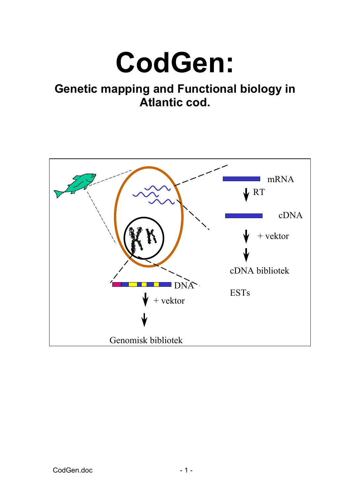# **CodGen:**

# **Genetic mapping and Functional biology in Atlantic cod.**

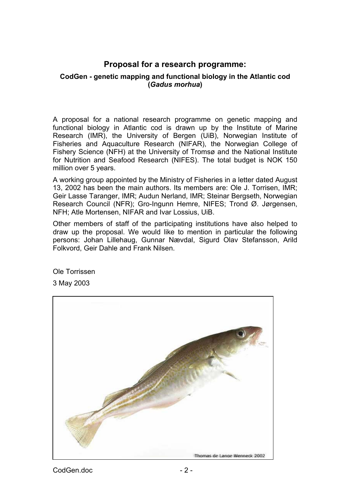## **Proposal for a research programme:**

#### **CodGen - genetic mapping and functional biology in the Atlantic cod (***Gadus morhua***)**

A proposal for a national research programme on genetic mapping and functional biology in Atlantic cod is drawn up by the Institute of Marine Research (IMR), the University of Bergen (UiB), Norwegian Institute of Fisheries and Aquaculture Research (NIFAR), the Norwegian College of Fishery Science (NFH) at the University of Tromsø and the National Institute for Nutrition and Seafood Research (NIFES). The total budget is NOK 150 million over 5 years.

A working group appointed by the Ministry of Fisheries in a letter dated August 13, 2002 has been the main authors. Its members are: Ole J. Torrisen, IMR; Geir Lasse Taranger, IMR; Audun Nerland, IMR; Steinar Bergseth, Norwegian Research Council (NFR); Gro-Ingunn Hemre, NIFES; Trond Ø. Jørgensen, NFH; Atle Mortensen, NIFAR and Ivar Lossius, UiB.

Other members of staff of the participating institutions have also helped to draw up the proposal. We would like to mention in particular the following persons: Johan Lillehaug, Gunnar Nævdal, Sigurd Olav Stefansson, Arild Folkvord, Geir Dahle and Frank Nilsen.

Ole Torrissen

3 May 2003

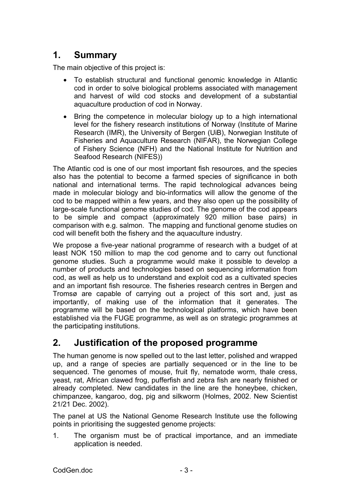# **1. Summary**

The main objective of this project is:

- To establish structural and functional genomic knowledge in Atlantic cod in order to solve biological problems associated with management and harvest of wild cod stocks and development of a substantial aquaculture production of cod in Norway.
- Bring the competence in molecular biology up to a high international level for the fishery research institutions of Norway (Institute of Marine Research (IMR), the University of Bergen (UiB), Norwegian Institute of Fisheries and Aquaculture Research (NIFAR), the Norwegian College of Fishery Science (NFH) and the National Institute for Nutrition and Seafood Research (NIFES))

The Atlantic cod is one of our most important fish resources, and the species also has the potential to become a farmed species of significance in both national and international terms. The rapid technological advances being made in molecular biology and bio-informatics will allow the genome of the cod to be mapped within a few years, and they also open up the possibility of large-scale functional genome studies of cod. The genome of the cod appears to be simple and compact (approximately 920 million base pairs) in comparison with e.g. salmon. The mapping and functional genome studies on cod will benefit both the fishery and the aquaculture industry.

We propose a five-year national programme of research with a budget of at least NOK 150 million to map the cod genome and to carry out functional genome studies. Such a programme would make it possible to develop a number of products and technologies based on sequencing information from cod, as well as help us to understand and exploit cod as a cultivated species and an important fish resource. The fisheries research centres in Bergen and Tromsø are capable of carrying out a project of this sort and, just as importantly, of making use of the information that it generates. The programme will be based on the technological platforms, which have been established via the FUGE programme, as well as on strategic programmes at the participating institutions.

# **2. Justification of the proposed programme**

The human genome is now spelled out to the last letter, polished and wrapped up, and a range of species are partially sequenced or in the line to be sequenced. The genomes of mouse, fruit fly, nematode worm, thale cress, yeast, rat, African clawed frog, pufferfish and zebra fish are nearly finished or already completed. New candidates in the line are the honeybee, chicken, chimpanzee, kangaroo, dog, pig and silkworm (Holmes, 2002. New Scientist 21/21 Dec. 2002).

The panel at US the National Genome Research Institute use the following points in prioritising the suggested genome projects:

1. The organism must be of practical importance, and an immediate application is needed.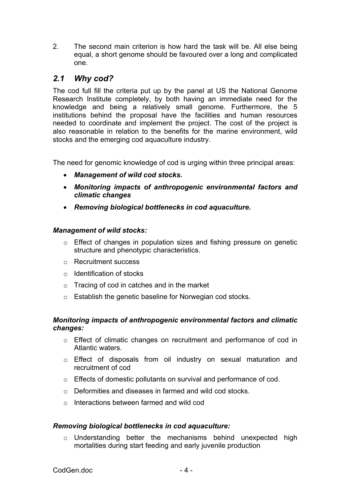2. The second main criterion is how hard the task will be. All else being equal, a short genome should be favoured over a long and complicated one.

## *2.1 Why cod?*

The cod full fill the criteria put up by the panel at US the National Genome Research Institute completely, by both having an immediate need for the knowledge and being a relatively small genome. Furthermore, the 5 institutions behind the proposal have the facilities and human resources needed to coordinate and implement the project. The cost of the project is also reasonable in relation to the benefits for the marine environment, wild stocks and the emerging cod aquaculture industry.

The need for genomic knowledge of cod is urging within three principal areas:

- *Management of wild cod stocks.*
- *Monitoring impacts of anthropogenic environmental factors and climatic changes*
- *Removing biological bottlenecks in cod aquaculture.*

#### *Management of wild stocks:*

- o Effect of changes in population sizes and fishing pressure on genetic structure and phenotypic characteristics.
- o Recruitment success
- o Identification of stocks
- o Tracing of cod in catches and in the market
- o Establish the genetic baseline for Norwegian cod stocks.

#### *Monitoring impacts of anthropogenic environmental factors and climatic changes:*

- o Effect of climatic changes on recruitment and performance of cod in Atlantic waters.
- o Effect of disposals from oil industry on sexual maturation and recruitment of cod
- o Effects of domestic pollutants on survival and performance of cod.
- o Deformities and diseases in farmed and wild cod stocks.
- o Interactions between farmed and wild cod

#### *Removing biological bottlenecks in cod aquaculture:*

o Understanding better the mechanisms behind unexpected high mortalities during start feeding and early juvenile production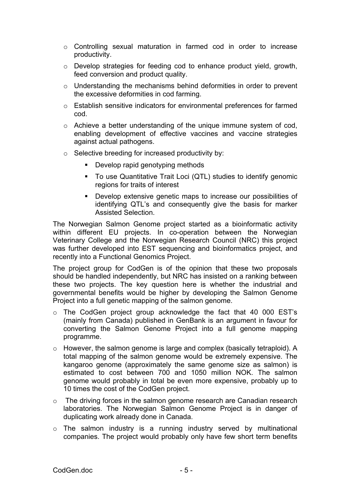- o Controlling sexual maturation in farmed cod in order to increase productivity.
- o Develop strategies for feeding cod to enhance product yield, growth, feed conversion and product quality.
- o Understanding the mechanisms behind deformities in order to prevent the excessive deformities in cod farming.
- o Establish sensitive indicators for environmental preferences for farmed cod.
- o Achieve a better understanding of the unique immune system of cod, enabling development of effective vaccines and vaccine strategies against actual pathogens.
- o Selective breeding for increased productivity by:
	- **Develop rapid genotyping methods**
	- To use Quantitative Trait Loci (QTL) studies to identify genomic regions for traits of interest
	- Develop extensive genetic maps to increase our possibilities of identifying QTL's and consequently give the basis for marker Assisted Selection.

The Norwegian Salmon Genome project started as a bioinformatic activity within different EU projects. In co-operation between the Norwegian Veterinary College and the Norwegian Research Council (NRC) this project was further developed into EST sequencing and bioinformatics project, and recently into a Functional Genomics Project.

The project group for CodGen is of the opinion that these two proposals should be handled independently, but NRC has insisted on a ranking between these two projects. The key question here is whether the industrial and governmental benefits would be higher by developing the Salmon Genome Project into a full genetic mapping of the salmon genome.

- o The CodGen project group acknowledge the fact that 40 000 EST's (mainly from Canada) published in GenBank is an argument in favour for converting the Salmon Genome Project into a full genome mapping programme.
- o However, the salmon genome is large and complex (basically tetraploid). A total mapping of the salmon genome would be extremely expensive. The kangaroo genome (approximately the same genome size as salmon) is estimated to cost between 700 and 1050 million NOK. The salmon genome would probably in total be even more expensive, probably up to 10 times the cost of the CodGen project.
- o The driving forces in the salmon genome research are Canadian research laboratories. The Norwegian Salmon Genome Project is in danger of duplicating work already done in Canada.
- o The salmon industry is a running industry served by multinational companies. The project would probably only have few short term benefits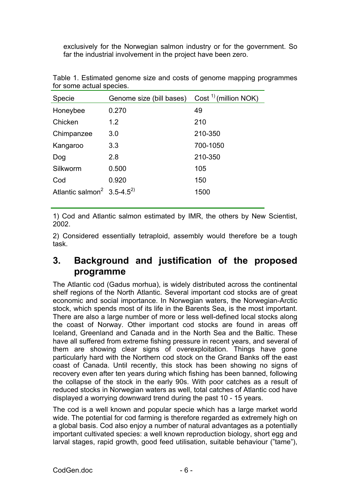exclusively for the Norwegian salmon industry or for the government. So far the industrial involvement in the project have been zero.

| Specie                                             | Genome size (bill bases) | Cost <sup>1</sup> ) (million NOK) |  |  |
|----------------------------------------------------|--------------------------|-----------------------------------|--|--|
| Honeybee                                           | 0.270                    | 49                                |  |  |
| Chicken                                            | 1.2                      | 210                               |  |  |
| Chimpanzee                                         | 3.0                      | 210-350                           |  |  |
| Kangaroo                                           | 3.3                      | 700-1050                          |  |  |
| Dog                                                | 2.8                      | 210-350                           |  |  |
| Silkworm                                           | 0.500                    | 105                               |  |  |
| Cod                                                | 0.920                    | 150                               |  |  |
| Atlantic salmon <sup>2</sup> 3.5-4.5 <sup>2)</sup> |                          | 1500                              |  |  |

Table 1. Estimated genome size and costs of genome mapping programmes for some actual species.

1) Cod and Atlantic salmon estimated by IMR, the others by New Scientist, 2002.

2) Considered essentially tetraploid, assembly would therefore be a tough task.

# **3. Background and justification of the proposed programme**

The Atlantic cod (Gadus morhua), is widely distributed across the continental shelf regions of the North Atlantic. Several important cod stocks are of great economic and social importance. In Norwegian waters, the Norwegian-Arctic stock, which spends most of its life in the Barents Sea, is the most important. There are also a large number of more or less well-defined local stocks along the coast of Norway. Other important cod stocks are found in areas off Iceland, Greenland and Canada and in the North Sea and the Baltic. These have all suffered from extreme fishing pressure in recent years, and several of them are showing clear signs of overexploitation. Things have gone particularly hard with the Northern cod stock on the Grand Banks off the east coast of Canada. Until recently, this stock has been showing no signs of recovery even after ten years during which fishing has been banned, following the collapse of the stock in the early 90s. With poor catches as a result of reduced stocks in Norwegian waters as well, total catches of Atlantic cod have displayed a worrying downward trend during the past 10 - 15 years.

The cod is a well known and popular specie which has a large market world wide. The potential for cod farming is therefore regarded as extremely high on a global basis. Cod also enjoy a number of natural advantages as a potentially important cultivated species: a well known reproduction biology, short egg and larval stages, rapid growth, good feed utilisation, suitable behaviour ("tame"),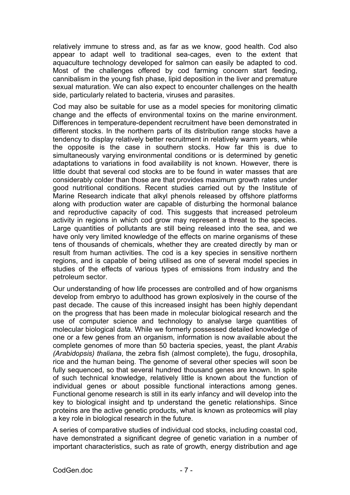relatively immune to stress and, as far as we know, good health. Cod also appear to adapt well to traditional sea-cages, even to the extent that aquaculture technology developed for salmon can easily be adapted to cod. Most of the challenges offered by cod farming concern start feeding, cannibalism in the young fish phase, lipid deposition in the liver and premature sexual maturation. We can also expect to encounter challenges on the health side, particularly related to bacteria, viruses and parasites.

Cod may also be suitable for use as a model species for monitoring climatic change and the effects of environmental toxins on the marine environment. Differences in temperature-dependent recruitment have been demonstrated in different stocks. In the northern parts of its distribution range stocks have a tendency to display relatively better recruitment in relatively warm years, while the opposite is the case in southern stocks. How far this is due to simultaneously varying environmental conditions or is determined by genetic adaptations to variations in food availability is not known. However, there is little doubt that several cod stocks are to be found in water masses that are considerably colder than those are that provides maximum growth rates under good nutritional conditions. Recent studies carried out by the Institute of Marine Research indicate that alkyl phenols released by offshore platforms along with production water are capable of disturbing the hormonal balance and reproductive capacity of cod. This suggests that increased petroleum activity in regions in which cod grow may represent a threat to the species. Large quantities of pollutants are still being released into the sea, and we have only very limited knowledge of the effects on marine organisms of these tens of thousands of chemicals, whether they are created directly by man or result from human activities. The cod is a key species in sensitive northern regions, and is capable of being utilised as one of several model species in studies of the effects of various types of emissions from industry and the petroleum sector.

Our understanding of how life processes are controlled and of how organisms develop from embryo to adulthood has grown explosively in the course of the past decade. The cause of this increased insight has been highly dependant on the progress that has been made in molecular biological research and the use of computer science and technology to analyse large quantities of molecular biological data. While we formerly possessed detailed knowledge of one or a few genes from an organism, information is now available about the complete genomes of more than 50 bacteria species, yeast, the plant *Arabis (Arabidopsis) thaliana*, the zebra fish (almost complete), the fugu, drosophila, rice and the human being. The genome of several other species will soon be fully sequenced, so that several hundred thousand genes are known. In spite of such technical knowledge, relatively little is known about the function of individual genes or about possible functional interactions among genes. Functional genome research is still in its early infancy and will develop into the key to biological insight and tp understand the genetic relationships. Since proteins are the active genetic products, what is known as proteomics will play a key role in biological research in the future.

A series of comparative studies of individual cod stocks, including coastal cod, have demonstrated a significant degree of genetic variation in a number of important characteristics, such as rate of growth, energy distribution and age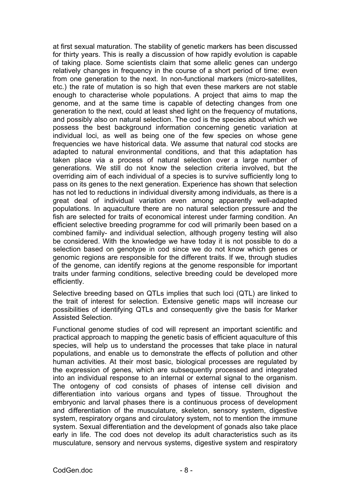at first sexual maturation. The stability of genetic markers has been discussed for thirty years. This is really a discussion of how rapidly evolution is capable of taking place. Some scientists claim that some allelic genes can undergo relatively changes in frequency in the course of a short period of time: even from one generation to the next. In non-functional markers (micro-satellites, etc.) the rate of mutation is so high that even these markers are not stable enough to characterise whole populations. A project that aims to map the genome, and at the same time is capable of detecting changes from one generation to the next, could at least shed light on the frequency of mutations, and possibly also on natural selection. The cod is the species about which we possess the best background information concerning genetic variation at individual loci, as well as being one of the few species on whose gene frequencies we have historical data. We assume that natural cod stocks are adapted to natural environmental conditions, and that this adaptation has taken place via a process of natural selection over a large number of generations. We still do not know the selection criteria involved, but the overriding aim of each individual of a species is to survive sufficiently long to pass on its genes to the next generation. Experience has shown that selection has not led to reductions in individual diversity among individuals, as there is a great deal of individual variation even among apparently well-adapted populations. In aquaculture there are no natural selection pressure and the fish are selected for traits of economical interest under farming condition. An efficient selective breeding programme for cod will primarily been based on a combined family- and individual selection, although progeny testing will also be considered. With the knowledge we have today it is not possible to do a selection based on genotype in cod since we do not know which genes or genomic regions are responsible for the different traits. If we, through studies of the genome, can identify regions at the genome responsible for important traits under farming conditions, selective breeding could be developed more efficiently.

Selective breeding based on QTLs implies that such loci (QTL) are linked to the trait of interest for selection. Extensive genetic maps will increase our possibilities of identifying QTLs and consequently give the basis for Marker Assisted Selection.

Functional genome studies of cod will represent an important scientific and practical approach to mapping the genetic basis of efficient aquaculture of this species, will help us to understand the processes that take place in natural populations, and enable us to demonstrate the effects of pollution and other human activities. At their most basic, biological processes are regulated by the expression of genes, which are subsequently processed and integrated into an individual response to an internal or external signal to the organism. The ontogeny of cod consists of phases of intense cell division and differentiation into various organs and types of tissue. Throughout the embryonic and larval phases there is a continuous process of development and differentiation of the musculature, skeleton, sensory system, digestive system, respiratory organs and circulatory system, not to mention the immune system. Sexual differentiation and the development of gonads also take place early in life. The cod does not develop its adult characteristics such as its musculature, sensory and nervous systems, digestive system and respiratory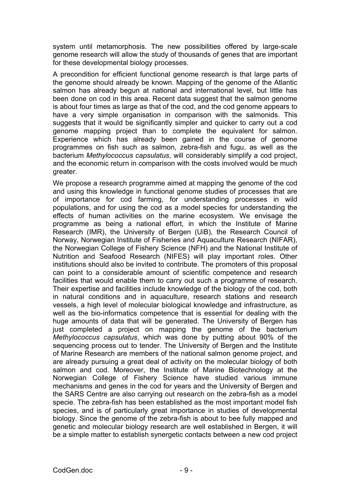system until metamorphosis. The new possibilities offered by large-scale genome research will allow the study of thousands of genes that are important for these developmental biology processes.

A precondition for efficient functional genome research is that large parts of the genome should already be known. Mapping of the genome of the Atlantic salmon has already begun at national and international level, but little has been done on cod in this area. Recent data suggest that the salmon genome is about four times as large as that of the cod, and the cod genome appears to have a very simple organisation in comparison with the salmonids. This suggests that it would be significantly simpler and quicker to carry out a cod genome mapping project than to complete the equivalent for salmon. Experience which has already been gained in the course of genome programmes on fish such as salmon, zebra-fish and fugu, as well as the bacterium *Methylococcus capsulatus*, will considerably simplify a cod project, and the economic return in comparison with the costs involved would be much greater.

We propose a research programme aimed at mapping the genome of the cod and using this knowledge in functional genome studies of processes that are of importance for cod farming, for understanding processes in wild populations, and for using the cod as a model species for understanding the effects of human activities on the marine ecosystem. We envisage the programme as being a national effort, in which the Institute of Marine Research (IMR), the University of Bergen (UiB), the Research Council of Norway, Norwegian Institute of Fisheries and Aquaculture Research (NIFAR), the Norwegian College of Fishery Science (NFH) and the National Institute of Nutrition and Seafood Research (NIFES) will play important roles. Other institutions should also be invited to contribute. The promoters of this proposal can point to a considerable amount of scientific competence and research facilities that would enable them to carry out such a programme of research. Their expertise and facilities include knowledge of the biology of the cod, both in natural conditions and in aquaculture, research stations and research vessels, a high level of molecular biological knowledge and infrastructure, as well as the bio-informatics competence that is essential for dealing with the huge amounts of data that will be generated. The University of Bergen has just completed a project on mapping the genome of the bacterium *Methylococcus capsulatus*, which was done by putting about 90% of the sequencing process out to tender. The University of Bergen and the Institute of Marine Research are members of the national salmon genome project, and are already pursuing a great deal of activity on the molecular biology of both salmon and cod. Moreover, the Institute of Marine Biotechnology at the Norwegian College of Fishery Science have studied various immune mechanisms and genes in the cod for years and the University of Bergen and the SARS Centre are also carrying out research on the zebra-fish as a model specie. The zebra-fish has been established as the most important model fish species, and is of particularly great importance in studies of developmental biology. Since the genome of the zebra-fish is about to bee fully mapped and genetic and molecular biology research are well established in Bergen, it will be a simple matter to establish synergetic contacts between a new cod project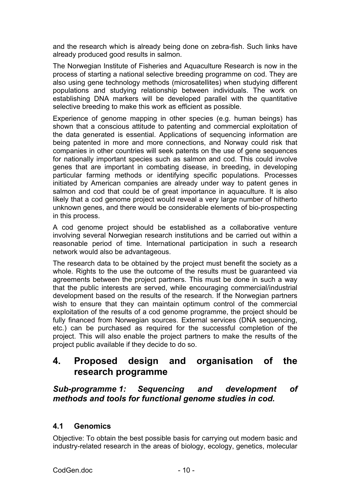and the research which is already being done on zebra-fish. Such links have already produced good results in salmon.

The Norwegian Institute of Fisheries and Aquaculture Research is now in the process of starting a national selective breeding programme on cod. They are also using gene technology methods (microsatellites) when studying different populations and studying relationship between individuals. The work on establishing DNA markers will be developed parallel with the quantitative selective breeding to make this work as efficient as possible.

Experience of genome mapping in other species (e.g. human beings) has shown that a conscious attitude to patenting and commercial exploitation of the data generated is essential. Applications of sequencing information are being patented in more and more connections, and Norway could risk that companies in other countries will seek patents on the use of gene sequences for nationally important species such as salmon and cod. This could involve genes that are important in combating disease, in breeding, in developing particular farming methods or identifying specific populations. Processes initiated by American companies are already under way to patent genes in salmon and cod that could be of great importance in aquaculture. It is also likely that a cod genome project would reveal a very large number of hitherto unknown genes, and there would be considerable elements of bio-prospecting in this process.

A cod genome project should be established as a collaborative venture involving several Norwegian research institutions and be carried out within a reasonable period of time. International participation in such a research network would also be advantageous.

The research data to be obtained by the project must benefit the society as a whole. Rights to the use the outcome of the results must be guaranteed via agreements between the project partners. This must be done in such a way that the public interests are served, while encouraging commercial/industrial development based on the results of the research. If the Norwegian partners wish to ensure that they can maintain optimum control of the commercial exploitation of the results of a cod genome programme, the project should be fully financed from Norwegian sources. External services (DNA sequencing, etc.) can be purchased as required for the successful completion of the project. This will also enable the project partners to make the results of the project public available if they decide to do so.

# **4. Proposed design and organisation of the research programme**

## *Sub-programme 1: Sequencing and development of methods and tools for functional genome studies in cod.*

## **4.1 Genomics**

Objective: To obtain the best possible basis for carrying out modern basic and industry-related research in the areas of biology, ecology, genetics, molecular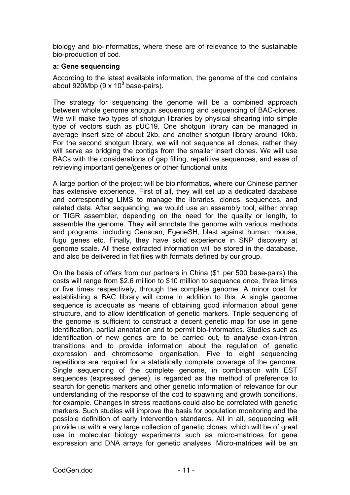biology and bio-informatics, where these are of relevance to the sustainable bio-production of cod.

#### **a: Gene sequencing**

According to the latest available information, the genome of the cod contains about 920Mbp (9 x 10 $8$  base-pairs).

The strategy for sequencing the genome will be a combined approach between whole genome shotgun sequencing and sequencing of BAC-clones. We will make two types of shotgun libraries by physical shearing into simple type of vectors such as pUC19. One shotgun library can be managed in average insert size of about 2kb, and another shotgun library around 10kb. For the second shotgun library, we will not sequence all clones, rather they will serve as bridging the contigs from the smaller insert clones. We will use BACs with the considerations of gap filling, repetitive sequences, and ease of retrieving important gene/genes or other functional units

A large portion of the project will be bioinformatics, where our Chinese partner has extensive experience. First of all, they will set up a dedicated database and corresponding LIMS to manage the libraries, clones, sequences, and related data. After sequencing, we would use an assembly tool, either phrap or TIGR assembler, depending on the need for the quality or length, to assemble the genome. They will annotate the genome with various methods and programs, including Genscan, FgeneSH, blast against human, mouse, fugu genes etc. Finally, they have solid experience in SNP discovery at genome scale. All these extracted information will be stored in the database, and also be delivered in flat files with formats defined by our group.

On the basis of offers from our partners in China (\$1 per 500 base-pairs) the costs will range from \$2.6 million to \$10 million to sequence once, three times or five times respectively, through the complete genome. A minor cost for establishing a BAC library will come in addition to this. A single genome sequence is adequate as means of obtaining good information about gene structure, and to allow identification of genetic markers. Triple sequencing of the genome is sufficient to construct a decent genetic map for use in gene identification, partial annotation and to permit bio-informatics. Studies such as identification of new genes are to be carried out, to analyse exon-intron transitions and to provide information about the regulation of genetic expression and chromosome organisation. Five to eight sequencing repetitions are required for a statistically complete coverage of the genome. Single sequencing of the complete genome, in combination with EST sequences (expressed genes), is regarded as the method of preference to search for genetic markers and other genetic information of relevance for our understanding of the response of the cod to spawning and growth conditions, for example. Changes in stress reactions could also be correlated with genetic markers. Such studies will improve the basis for population monitoring and the possible definition of early intervention standards. All in all, sequencing will provide us with a very large collection of genetic clones, which will be of great use in molecular biology experiments such as micro-matrices for gene expression and DNA arrays for genetic analyses. Micro-matrices will be an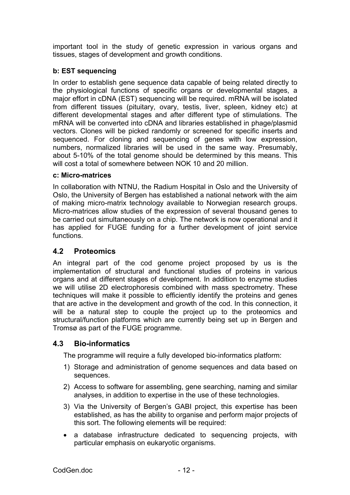important tool in the study of genetic expression in various organs and tissues, stages of development and growth conditions.

### **b: EST sequencing**

In order to establish gene sequence data capable of being related directly to the physiological functions of specific organs or developmental stages, a major effort in cDNA (EST) sequencing will be required. mRNA will be isolated from different tissues (pituitary, ovary, testis, liver, spleen, kidney etc) at different developmental stages and after different type of stimulations. The mRNA will be converted into cDNA and libraries established in phage/plasmid vectors. Clones will be picked randomly or screened for specific inserts and sequenced. For cloning and sequencing of genes with low expression, numbers, normalized libraries will be used in the same way. Presumably, about 5-10% of the total genome should be determined by this means. This will cost a total of somewhere between NOK 10 and 20 million.

#### **c: Micro-matrices**

In collaboration with NTNU, the Radium Hospital in Oslo and the University of Oslo, the University of Bergen has established a national network with the aim of making micro-matrix technology available to Norwegian research groups. Micro-matrices allow studies of the expression of several thousand genes to be carried out simultaneously on a chip. The network is now operational and it has applied for FUGE funding for a further development of joint service functions.

## **4.2 Proteomics**

An integral part of the cod genome project proposed by us is the implementation of structural and functional studies of proteins in various organs and at different stages of development. In addition to enzyme studies we will utilise 2D electrophoresis combined with mass spectrometry. These techniques will make it possible to efficiently identify the proteins and genes that are active in the development and growth of the cod. In this connection, it will be a natural step to couple the project up to the proteomics and structural/function platforms which are currently being set up in Bergen and Tromsø as part of the FUGE programme.

#### **4.3 Bio-informatics**

The programme will require a fully developed bio-informatics platform:

- 1) Storage and administration of genome sequences and data based on sequences.
- 2) Access to software for assembling, gene searching, naming and similar analyses, in addition to expertise in the use of these technologies.
- 3) Via the University of Bergen's GABI project, this expertise has been established, as has the ability to organise and perform major projects of this sort. The following elements will be required:
- a database infrastructure dedicated to sequencing projects, with particular emphasis on eukaryotic organisms.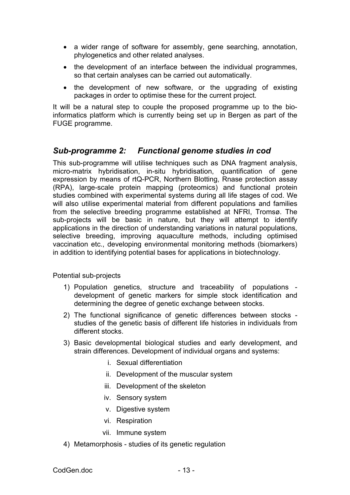- a wider range of software for assembly, gene searching, annotation, phylogenetics and other related analyses.
- the development of an interface between the individual programmes, so that certain analyses can be carried out automatically.
- the development of new software, or the upgrading of existing packages in order to optimise these for the current project.

It will be a natural step to couple the proposed programme up to the bioinformatics platform which is currently being set up in Bergen as part of the FUGE programme.

## *Sub-programme 2: Functional genome studies in cod*

This sub-programme will utilise techniques such as DNA fragment analysis, micro-matrix hybridisation, in-situ hybridisation, quantification of gene expression by means of rtQ-PCR, Northern Blotting, Rnase protection assay (RPA), large-scale protein mapping (proteomics) and functional protein studies combined with experimental systems during all life stages of cod. We will also utilise experimental material from different populations and families from the selective breeding programme established at NFRI, Tromsø. The sub-projects will be basic in nature, but they will attempt to identify applications in the direction of understanding variations in natural populations, selective breeding, improving aquaculture methods, including optimised vaccination etc., developing environmental monitoring methods (biomarkers) in addition to identifying potential bases for applications in biotechnology.

Potential sub-projects

- 1) Population genetics, structure and traceability of populations development of genetic markers for simple stock identification and determining the degree of genetic exchange between stocks.
- 2) The functional significance of genetic differences between stocks studies of the genetic basis of different life histories in individuals from different stocks.
- 3) Basic developmental biological studies and early development, and strain differences. Development of individual organs and systems:
	- i. Sexual differentiation
	- ii. Development of the muscular system
	- iii. Development of the skeleton
	- iv. Sensory system
	- v. Digestive system
	- vi. Respiration
	- vii. Immune system
- 4) Metamorphosis studies of its genetic regulation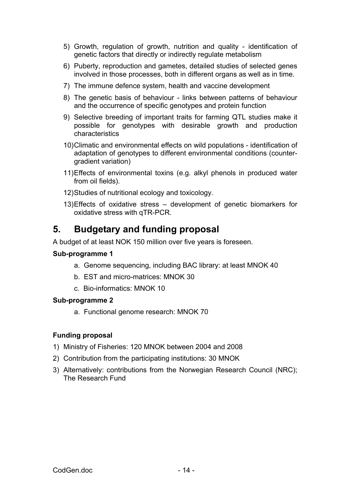- 5) Growth, regulation of growth, nutrition and quality identification of genetic factors that directly or indirectly regulate metabolism
- 6) Puberty, reproduction and gametes, detailed studies of selected genes involved in those processes, both in different organs as well as in time.
- 7) The immune defence system, health and vaccine development
- 8) The genetic basis of behaviour links between patterns of behaviour and the occurrence of specific genotypes and protein function
- 9) Selective breeding of important traits for farming QTL studies make it possible for genotypes with desirable growth and production characteristics
- 10) Climatic and environmental effects on wild populations identification of adaptation of genotypes to different environmental conditions (countergradient variation)
- 11) Effects of environmental toxins (e.g. alkyl phenols in produced water from oil fields).
- 12) Studies of nutritional ecology and toxicology.
- 13) Effects of oxidative stress development of genetic biomarkers for oxidative stress with qTR-PCR.

# **5. Budgetary and funding proposal**

A budget of at least NOK 150 million over five years is foreseen.

#### **Sub-programme 1**

- a. Genome sequencing, including BAC library: at least MNOK 40
- b. EST and micro-matrices: MNOK 30
- c. Bio-informatics: MNOK 10

#### **Sub-programme 2**

a. Functional genome research: MNOK 70

#### **Funding proposal**

- 1) Ministry of Fisheries: 120 MNOK between 2004 and 2008
- 2) Contribution from the participating institutions: 30 MNOK
- 3) Alternatively: contributions from the Norwegian Research Council (NRC); The Research Fund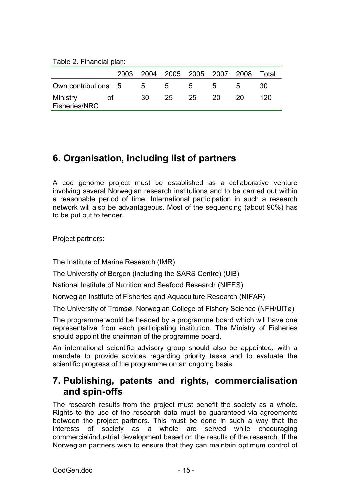Table 2. Financial plan:

|                     |  |      |                |                |       | 2003 2004 2005 2005 2007 2008 Total |     |
|---------------------|--|------|----------------|----------------|-------|-------------------------------------|-----|
| Own contributions 5 |  | $-5$ | 5 <sub>5</sub> | 5 <sup>5</sup> | $5 -$ | $\mathbf{b}$                        | 30  |
| Ministry<br>ot o    |  | .30  | 25             | 25 20          |       | -20                                 | 120 |
| Fisheries/NRC       |  |      |                |                |       |                                     |     |

# **6. Organisation, including list of partners**

A cod genome project must be established as a collaborative venture involving several Norwegian research institutions and to be carried out within a reasonable period of time. International participation in such a research network will also be advantageous. Most of the sequencing (about 90%) has to be put out to tender.

Project partners:

The Institute of Marine Research (IMR)

The University of Bergen (including the SARS Centre) (UiB)

National Institute of Nutrition and Seafood Research (NIFES)

Norwegian Institute of Fisheries and Aquaculture Research (NIFAR)

The University of Tromsø, Norwegian College of Fishery Science (NFH/UiTø)

The programme would be headed by a programme board which will have one representative from each participating institution. The Ministry of Fisheries should appoint the chairman of the programme board.

An international scientific advisory group should also be appointed, with a mandate to provide advices regarding priority tasks and to evaluate the scientific progress of the programme on an ongoing basis.

## **7. Publishing, patents and rights, commercialisation and spin-offs**

The research results from the project must benefit the society as a whole. Rights to the use of the research data must be guaranteed via agreements between the project partners. This must be done in such a way that the interests of society as a whole are served while encouraging commercial/industrial development based on the results of the research. If the Norwegian partners wish to ensure that they can maintain optimum control of